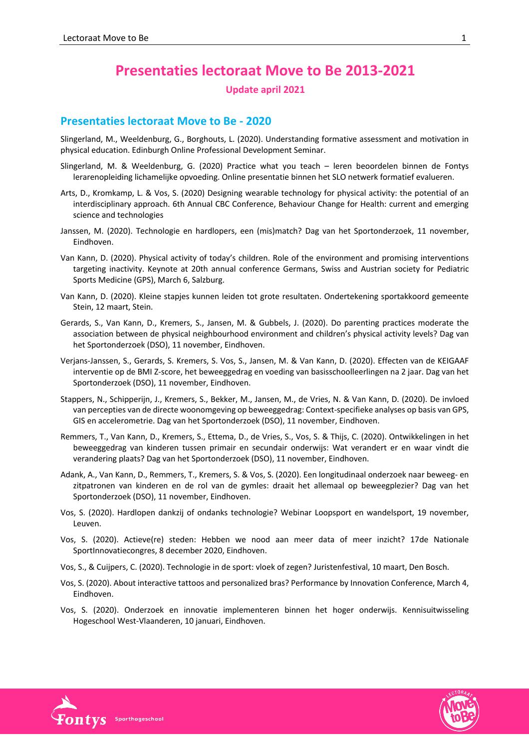#### **Update april 2021**

## **Presentaties lectoraat Move to Be - 2020**

Slingerland, M., Weeldenburg, G., Borghouts, L. (2020). Understanding formative assessment and motivation in physical education. Edinburgh Online Professional Development Seminar.

- Slingerland, M. & Weeldenburg, G. (2020) Practice what you teach leren beoordelen binnen de Fontys lerarenopleiding lichamelijke opvoeding. Online presentatie binnen het SLO netwerk formatief evalueren.
- Arts, D., Kromkamp, L. & Vos, S. (2020) Designing wearable technology for physical activity: the potential of an interdisciplinary approach. 6th Annual CBC Conference, Behaviour Change for Health: current and emerging science and technologies
- Janssen, M. (2020). Technologie en hardlopers, een (mis)match? Dag van het Sportonderzoek, 11 november, Eindhoven.
- Van Kann, D. (2020). Physical activity of today's children. Role of the environment and promising interventions targeting inactivity. Keynote at 20th annual conference Germans, Swiss and Austrian society for Pediatric Sports Medicine (GPS), March 6, Salzburg.
- Van Kann, D. (2020). Kleine stapjes kunnen leiden tot grote resultaten. Ondertekening sportakkoord gemeente Stein, 12 maart, Stein.
- Gerards, S., Van Kann, D., Kremers, S., Jansen, M. & Gubbels, J. (2020). Do parenting practices moderate the association between de physical neighbourhood environment and children's physical activity levels? Dag van het Sportonderzoek (DSO), 11 november, Eindhoven.
- Verjans-Janssen, S., Gerards, S. Kremers, S. Vos, S., Jansen, M. & Van Kann, D. (2020). Effecten van de KEIGAAF interventie op de BMI Z-score, het beweeggedrag en voeding van basisschoolleerlingen na 2 jaar. Dag van het Sportonderzoek (DSO), 11 november, Eindhoven.
- Stappers, N., Schipperijn, J., Kremers, S., Bekker, M., Jansen, M., de Vries, N. & Van Kann, D. (2020). De invloed van percepties van de directe woonomgeving op beweeggedrag: Context-specifieke analyses op basis van GPS, GIS en accelerometrie. Dag van het Sportonderzoek (DSO), 11 november, Eindhoven.
- Remmers, T., Van Kann, D., Kremers, S., Ettema, D., de Vries, S., Vos, S. & Thijs, C. (2020). Ontwikkelingen in het beweeggedrag van kinderen tussen primair en secundair onderwijs: Wat verandert er en waar vindt die verandering plaats? Dag van het Sportonderzoek (DSO), 11 november, Eindhoven.
- Adank, A., Van Kann, D., Remmers, T., Kremers, S. & Vos, S. (2020). Een longitudinaal onderzoek naar beweeg- en zitpatronen van kinderen en de rol van de gymles: draait het allemaal op beweegplezier? Dag van het Sportonderzoek (DSO), 11 november, Eindhoven.
- Vos, S. (2020). Hardlopen dankzij of ondanks technologie? Webinar Loopsport en wandelsport, 19 november, Leuven.
- Vos, S. (2020). Actieve(re) steden: Hebben we nood aan meer data of meer inzicht? 17de Nationale SportInnovatiecongres, 8 december 2020, Eindhoven.
- Vos, S., & Cuijpers, C. (2020). Technologie in de sport: vloek of zegen? Juristenfestival, 10 maart, Den Bosch.
- Vos, S. (2020). About interactive tattoos and personalized bras? Performance by Innovation Conference, March 4, Eindhoven.
- Vos, S. (2020). Onderzoek en innovatie implementeren binnen het hoger onderwijs. Kennisuitwisseling Hogeschool West-Vlaanderen, 10 januari, Eindhoven.



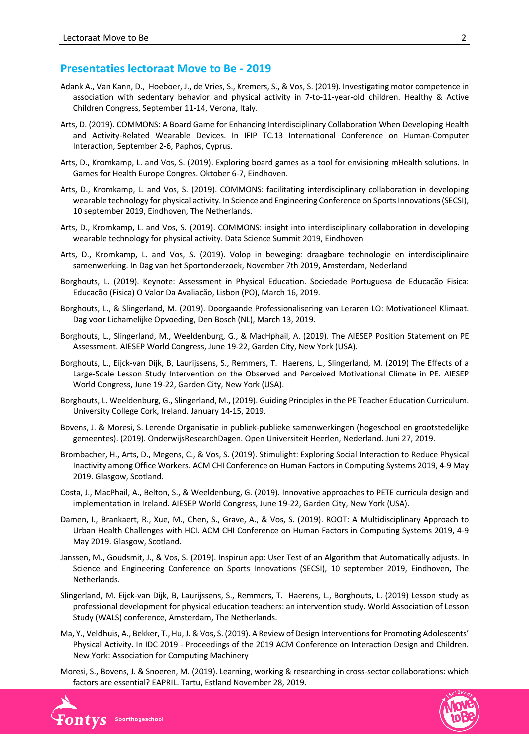ontys

Sporthogeschool

- Adank A., Van Kann, D., Hoeboer, J., de Vries, S., Kremers, S., & Vos, S. (2019). Investigating motor competence in association with sedentary behavior and physical activity in 7-to-11-year-old children. Healthy & Active Children Congress, September 11-14, Verona, Italy.
- Arts, D. (2019). COMMONS: A Board Game for Enhancing Interdisciplinary Collaboration When Developing Health and Activity-Related Wearable Devices. In IFIP TC.13 International Conference on Human-Computer Interaction, September 2-6, Paphos, Cyprus.
- Arts, D., Kromkamp, L. and Vos, S. (2019). Exploring board games as a tool for envisioning mHealth solutions. In Games for Health Europe Congres. Oktober 6-7, Eindhoven.
- Arts, D., Kromkamp, L. and Vos, S. (2019). COMMONS: facilitating interdisciplinary collaboration in developing wearable technology for physical activity. In Science and Engineering Conference on Sports Innovations (SECSI), 10 september 2019, Eindhoven, The Netherlands.
- Arts, D., Kromkamp, L. and Vos, S. (2019). COMMONS: insight into interdisciplinary collaboration in developing wearable technology for physical activity. Data Science Summit 2019, Eindhoven
- Arts, D., Kromkamp, L. and Vos, S. (2019). Volop in beweging: draagbare technologie en interdisciplinaire samenwerking. In Dag van het Sportonderzoek, November 7th 2019, Amsterdam, Nederland
- Borghouts, L. (2019). Keynote: Assessment in Physical Education. Sociedade Portuguesa de Educacão Fisica: Educacão (Fisica) O Valor Da Avaliacão, Lisbon (PO), March 16, 2019.
- Borghouts, L., & Slingerland, M. (2019). Doorgaande Professionalisering van Leraren LO: Motivationeel Klimaat. Dag voor Lichamelijke Opvoeding, Den Bosch (NL), March 13, 2019.
- Borghouts, L., Slingerland, M., Weeldenburg, G., & MacHphail, A. (2019). The AIESEP Position Statement on PE Assessment. AIESEP World Congress, June 19-22, Garden City, New York (USA).
- Borghouts, L., Eijck-van Dijk, B, Laurijssens, S., Remmers, T. Haerens, L., Slingerland, M. (2019) The Effects of a Large-Scale Lesson Study Intervention on the Observed and Perceived Motivational Climate in PE. AIESEP World Congress, June 19-22, Garden City, New York (USA).
- Borghouts, L. Weeldenburg, G., Slingerland, M., (2019). Guiding Principles in the PE Teacher Education Curriculum. University College Cork, Ireland. January 14-15, 2019.
- Bovens, J. & Moresi, S. Lerende Organisatie in publiek-publieke samenwerkingen (hogeschool en grootstedelijke gemeentes). (2019). OnderwijsResearchDagen. Open Universiteit Heerlen, Nederland. Juni 27, 2019.
- Brombacher, H., Arts, D., Megens, C., & Vos, S. (2019). Stimulight: Exploring Social Interaction to Reduce Physical Inactivity among Office Workers. ACM CHI Conference on Human Factors in Computing Systems 2019, 4-9 May 2019. Glasgow, Scotland.
- Costa, J., MacPhail, A., Belton, S., & Weeldenburg, G. (2019). Innovative approaches to PETE curricula design and implementation in Ireland. AIESEP World Congress, June 19-22, Garden City, New York (USA).
- Damen, I., Brankaert, R., Xue, M., Chen, S., Grave, A., & Vos, S. (2019). ROOT: A Multidisciplinary Approach to Urban Health Challenges with HCI. ACM CHI Conference on Human Factors in Computing Systems 2019, 4-9 May 2019. Glasgow, Scotland.
- Janssen, M., Goudsmit, J., & Vos, S. (2019). Inspirun app: User Test of an Algorithm that Automatically adjusts. In Science and Engineering Conference on Sports Innovations (SECSI), 10 september 2019, Eindhoven, The Netherlands.
- Slingerland, M. Eijck-van Dijk, B, Laurijssens, S., Remmers, T. Haerens, L., Borghouts, L. (2019) Lesson study as professional development for physical education teachers: an intervention study. World Association of Lesson Study (WALS) conference, Amsterdam, The Netherlands.
- Ma, Y., Veldhuis, A., Bekker, T., Hu, J. & Vos, S. (2019). A Review of Design Interventions for Promoting Adolescents' Physical Activity. In IDC 2019 - Proceedings of the 2019 ACM Conference on Interaction Design and Children. New York: Association for Computing Machinery
- Moresi, S., Bovens, J. & Snoeren, M. (2019). Learning, working & researching in cross-sector collaborations: which factors are essential? EAPRIL. Tartu, Estland November 28, 2019.

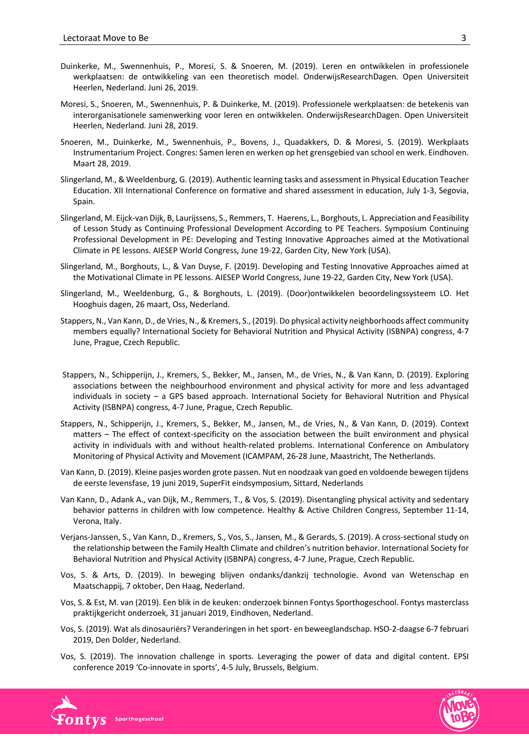- Duinkerke, M., Swennenhuis, P., Moresi, S. & Snoeren, M. (2019). Leren en ontwikkelen in professionele werkplaatsen: de ontwikkeling van een theoretisch model. OnderwijsResearchDagen. Open Universiteit Heerlen, Nederland. Juni 26, 2019.
- Moresi, S., Snoeren, M., Swennenhuis, P. & Duinkerke, M. (2019). Professionele werkplaatsen: de betekenis van interorganisationele samenwerking voor leren en ontwikkelen. OnderwijsResearchDagen. Open Universiteit Heerlen, Nederland. Juni 28, 2019.
- Snoeren, M., Duinkerke, M., Swennenhuis, P., Bovens, J., Quadakkers, D. & Moresi, S. (2019). Werkplaats Instrumentarium Project. Congres: Samen leren en werken op het grensgebied van school en werk. Eindhoven. Maart 28, 2019.
- Slingerland, M., & Weeldenburg, G. (2019). Authentic learning tasks and assessment in Physical Education Teacher Education. XII International Conference on formative and shared assessment in education, July 1-3, Segovia, Spain.
- Slingerland, M. Eijck-van Dijk, B, Laurijssens, S., Remmers, T. Haerens, L., Borghouts, L. Appreciation and Feasibility of Lesson Study as Continuing Professional Development According to PE Teachers. Symposium Continuing Professional Development in PE: Developing and Testing Innovative Approaches aimed at the Motivational Climate in PE lessons. AIESEP World Congress, June 19-22, Garden City, New York (USA).
- Slingerland, M., Borghouts, L., & Van Duyse, F. (2019). Developing and Testing Innovative Approaches aimed at the Motivational Climate in PE lessons. AIESEP World Congress, June 19-22, Garden City, New York (USA).
- Slingerland, M., Weeldenburg, G., & Borghouts, L. (2019). (Door)ontwikkelen beoordelingssysteem LO. Het Hooghuis dagen, 26 maart, Oss, Nederland.
- Stappers, N., Van Kann, D., de Vries, N., & Kremers, S., (2019). Do physical activity neighborhoods affect community members equally? International Society for Behavioral Nutrition and Physical Activity (ISBNPA) congress, 4-7 June, Prague, Czech Republic.
- Stappers, N., Schipperijn, J., Kremers, S., Bekker, M., Jansen, M., de Vries, N., & Van Kann, D. (2019). Exploring associations between the neighbourhood environment and physical activity for more and less advantaged individuals in society – a GPS based approach. International Society for Behavioral Nutrition and Physical Activity (ISBNPA) congress, 4-7 June, Prague, Czech Republic.
- Stappers, N., Schipperijn, J., Kremers, S., Bekker, M., Jansen, M., de Vries, N., & Van Kann, D. (2019). Context matters – The effect of context-specificity on the association between the built environment and physical activity in individuals with and without health-related problems. International Conference on Ambulatory Monitoring of Physical Activity and Movement (ICAMPAM, 26-28 June, Maastricht, The Netherlands.
- Van Kann, D. (2019). Kleine pasjes worden grote passen. Nut en noodzaak van goed en voldoende bewegen tijdens de eerste levensfase, 19 juni 2019, SuperFit eindsymposium, Sittard, Nederlands
- Van Kann, D., Adank A., van Dijk, M., Remmers, T., & Vos, S. (2019). Disentangling physical activity and sedentary behavior patterns in children with low competence. Healthy & Active Children Congress, September 11-14, Verona, Italy.
- Verjans-Janssen, S., Van Kann, D., Kremers, S., Vos, S., Jansen, M., & Gerards, S. (2019). A cross-sectional study on the relationship between the Family Health Climate and children's nutrition behavior. International Society for Behavioral Nutrition and Physical Activity (ISBNPA) congress, 4-7 June, Prague, Czech Republic.
- Vos, S. & Arts, D. (2019). In beweging blijven ondanks/dankzij technologie. Avond van Wetenschap en Maatschappij, 7 oktober, Den Haag, Nederland.
- Vos, S. & Est, M. van (2019). Een blik in de keuken: onderzoek binnen Fontys Sporthogeschool. Fontys masterclass praktijkgericht onderzoek, 31 januari 2019, Eindhoven, Nederland.
- Vos, S. (2019). Wat als dinosauriërs? Veranderingen in het sport- en beweeglandschap. HSO-2-daagse 6-7 februari 2019, Den Dolder, Nederland.
- Vos, S. (2019). The innovation challenge in sports. Leveraging the power of data and digital content. EPSI conference 2019 'Co-innovate in sports', 4-5 July, Brussels, Belgium.



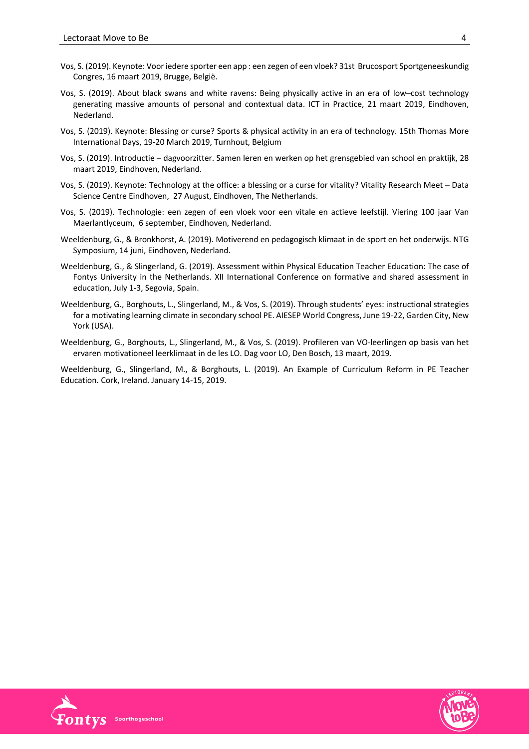- Vos, S. (2019). Keynote: Voor iedere sporter een app : een zegen of een vloek? 31st Brucosport Sportgeneeskundig Congres, 16 maart 2019, Brugge, België.
- Vos, S. (2019). About black swans and white ravens: Being physically active in an era of low–cost technology generating massive amounts of personal and contextual data. ICT in Practice, 21 maart 2019, Eindhoven, Nederland.
- Vos, S. (2019). Keynote: Blessing or curse? Sports & physical activity in an era of technology. 15th Thomas More International Days, 19-20 March 2019, Turnhout, Belgium
- Vos, S. (2019). Introductie dagvoorzitter. Samen leren en werken op het grensgebied van school en praktijk, 28 maart 2019, Eindhoven, Nederland.
- Vos, S. (2019). Keynote: Technology at the office: a blessing or a curse for vitality? Vitality Research Meet Data Science Centre Eindhoven, 27 August, Eindhoven, The Netherlands.
- Vos, S. (2019). Technologie: een zegen of een vloek voor een vitale en actieve leefstijl. Viering 100 jaar Van Maerlantlyceum, 6 september, Eindhoven, Nederland.
- Weeldenburg, G., & Bronkhorst, A. (2019). Motiverend en pedagogisch klimaat in de sport en het onderwijs. NTG Symposium, 14 juni, Eindhoven, Nederland.
- Weeldenburg, G., & Slingerland, G. (2019). Assessment within Physical Education Teacher Education: The case of Fontys University in the Netherlands. XII International Conference on formative and shared assessment in education, July 1-3, Segovia, Spain.
- Weeldenburg, G., Borghouts, L., Slingerland, M., & Vos, S. (2019). Through students' eyes: instructional strategies for a motivating learning climate in secondary school PE. AIESEP World Congress, June 19-22, Garden City, New York (USA).
- Weeldenburg, G., Borghouts, L., Slingerland, M., & Vos, S. (2019). Profileren van VO-leerlingen op basis van het ervaren motivationeel leerklimaat in de les LO. Dag voor LO, Den Bosch, 13 maart, 2019.
- Weeldenburg, G., Slingerland, M., & Borghouts, L. (2019). An Example of Curriculum Reform in PE Teacher Education. Cork, Ireland. January 14-15, 2019.



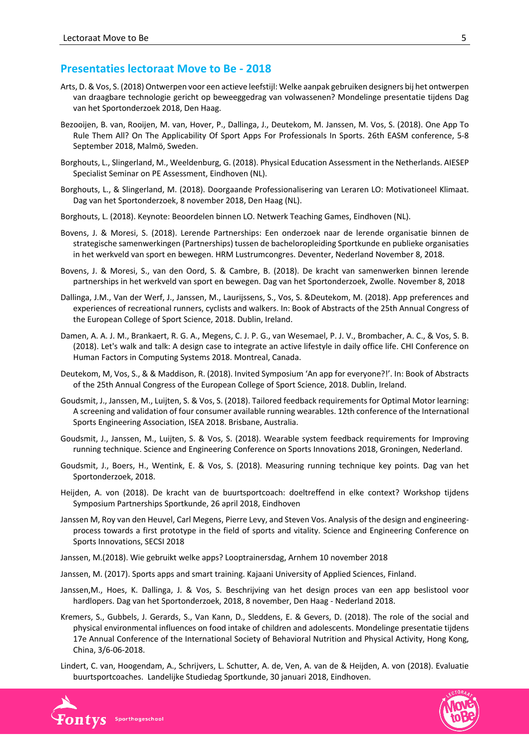- Arts, D.& Vos, S. (2018) Ontwerpen voor een actieve leefstijl: Welke aanpak gebruiken designers bij het ontwerpen van draagbare technologie gericht op beweeggedrag van volwassenen? Mondelinge presentatie tijdens Dag van het Sportonderzoek 2018, Den Haag.
- Bezooijen, B. van, Rooijen, M. van, Hover, P., Dallinga, J., Deutekom, M. Janssen, M. Vos, S. (2018). One App To Rule Them All? On The Applicability Of Sport Apps For Professionals In Sports. 26th EASM conference, 5-8 September 2018, Malmö, Sweden.
- Borghouts, L., Slingerland, M., Weeldenburg, G. (2018). Physical Education Assessment in the Netherlands. AIESEP Specialist Seminar on PE Assessment, Eindhoven (NL).
- Borghouts, L., & Slingerland, M. (2018). Doorgaande Professionalisering van Leraren LO: Motivationeel Klimaat. Dag van het Sportonderzoek, 8 november 2018, Den Haag (NL).
- Borghouts, L. (2018). Keynote: Beoordelen binnen LO. Netwerk Teaching Games, Eindhoven (NL).
- Bovens, J. & Moresi, S. (2018). Lerende Partnerships: Een onderzoek naar de lerende organisatie binnen de strategische samenwerkingen (Partnerships) tussen de bacheloropleiding Sportkunde en publieke organisaties in het werkveld van sport en bewegen. HRM Lustrumcongres. Deventer, Nederland November 8, 2018.
- Bovens, J. & Moresi, S., van den Oord, S. & Cambre, B. (2018). De kracht van samenwerken binnen lerende partnerships in het werkveld van sport en bewegen. Dag van het Sportonderzoek, Zwolle. November 8, 2018
- Dallinga, J.M., Van der Werf, J., Janssen, M., Laurijssens, S., Vos, S. &Deutekom, M. (2018). App preferences and experiences of recreational runners, cyclists and walkers. In: Book of Abstracts of the 25th Annual Congress of the European College of Sport Science, 2018. Dublin, Ireland.
- Damen, A. A. J. M., Brankaert, R. G. A., Megens, C. J. P. G., van Wesemael, P. J. V., Brombacher, A. C., & Vos, S. B. (2018). Let's walk and talk: A design case to integrate an active lifestyle in daily office life. CHI Conference on Human Factors in Computing Systems 2018. Montreal, Canada.
- Deutekom, M, Vos, S., & & Maddison, R. (2018). Invited Symposium 'An app for everyone?!'. In: Book of Abstracts of the 25th Annual Congress of the European College of Sport Science, 2018. Dublin, Ireland.
- Goudsmit, J., Janssen, M., Luijten, S. & Vos, S. (2018). Tailored feedback requirements for Optimal Motor learning: A screening and validation of four consumer available running wearables. 12th conference of the International Sports Engineering Association, ISEA 2018. Brisbane, Australia.
- Goudsmit, J., Janssen, M., Luijten, S. & Vos, S. (2018). Wearable system feedback requirements for Improving running technique. Science and Engineering Conference on Sports Innovations 2018, Groningen, Nederland.
- Goudsmit, J., Boers, H., Wentink, E. & Vos, S. (2018). Measuring running technique key points. Dag van het Sportonderzoek, 2018.
- Heijden, A. von (2018). De kracht van de buurtsportcoach: doeltreffend in elke context? Workshop tijdens Symposium Partnerships Sportkunde, 26 april 2018, Eindhoven
- Janssen M, Roy van den Heuvel, Carl Megens, Pierre Levy, and Steven Vos. Analysis of the design and engineeringprocess towards a first prototype in the field of sports and vitality. Science and Engineering Conference on Sports Innovations, SECSI 2018
- Janssen, M.(2018). Wie gebruikt welke apps? Looptrainersdag, Arnhem 10 november 2018

Sporthogeschool

ontys

- Janssen, M. (2017). Sports apps and smart training. Kajaani University of Applied Sciences, Finland.
- Janssen,M., Hoes, K. Dallinga, J. & Vos, S. Beschrijving van het design proces van een app beslistool voor hardlopers. Dag van het Sportonderzoek, 2018, 8 november, Den Haag - Nederland 2018.
- Kremers, S., Gubbels, J. Gerards, S., Van Kann, D., Sleddens, E. & Gevers, D. (2018). The role of the social and physical environmental influences on food intake of children and adolescents. Mondelinge presentatie tijdens 17e Annual Conference of the International Society of Behavioral Nutrition and Physical Activity, Hong Kong, China, 3/6-06-2018.
- Lindert, C. van, Hoogendam, A., Schrijvers, L. Schutter, A. de, Ven, A. van de & Heijden, A. von (2018). Evaluatie buurtsportcoaches. Landelijke Studiedag Sportkunde, 30 januari 2018, Eindhoven.

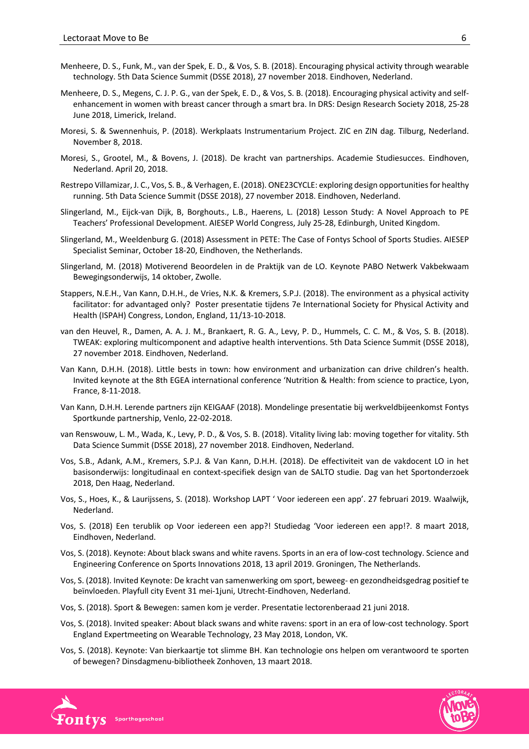- Menheere, D. S., Funk, M., van der Spek, E. D., & Vos, S. B. (2018). Encouraging physical activity through wearable technology. 5th Data Science Summit (DSSE 2018), 27 november 2018. Eindhoven, Nederland.
- Menheere, D. S., Megens, C. J. P. G., van der Spek, E. D., & Vos, S. B. (2018). Encouraging physical activity and selfenhancement in women with breast cancer through a smart bra. In DRS: Design Research Society 2018, 25-28 June 2018, Limerick, Ireland.
- Moresi, S. & Swennenhuis, P. (2018). Werkplaats Instrumentarium Project. ZIC en ZIN dag. Tilburg, Nederland. November 8, 2018.
- Moresi, S., Grootel, M., & Bovens, J. (2018). De kracht van partnerships. Academie Studiesucces. Eindhoven, Nederland. April 20, 2018.
- Restrepo Villamizar, J. C., Vos, S. B., & Verhagen, E. (2018). ONE23CYCLE: exploring design opportunities for healthy running. 5th Data Science Summit (DSSE 2018), 27 november 2018. Eindhoven, Nederland.
- Slingerland, M., Eijck-van Dijk, B, Borghouts., L.B., Haerens, L. (2018) Lesson Study: A Novel Approach to PE Teachers' Professional Development. AIESEP World Congress, July 25-28, Edinburgh, United Kingdom.
- Slingerland, M., Weeldenburg G. (2018) Assessment in PETE: The Case of Fontys School of Sports Studies. AIESEP Specialist Seminar, October 18-20, Eindhoven, the Netherlands.
- Slingerland, M. (2018) Motiverend Beoordelen in de Praktijk van de LO. Keynote PABO Netwerk Vakbekwaam Bewegingsonderwijs, 14 oktober, Zwolle.
- Stappers, N.E.H., Van Kann, D.H.H., de Vries, N.K. & Kremers, S.P.J. (2018). The environment as a physical activity facilitator: for advantaged only? Poster presentatie tijdens 7e International Society for Physical Activity and Health (ISPAH) Congress, London, England, 11/13-10-2018.
- van den Heuvel, R., Damen, A. A. J. M., Brankaert, R. G. A., Levy, P. D., Hummels, C. C. M., & Vos, S. B. (2018). TWEAK: exploring multicomponent and adaptive health interventions. 5th Data Science Summit (DSSE 2018), 27 november 2018. Eindhoven, Nederland.
- Van Kann, D.H.H. (2018). Little bests in town: how environment and urbanization can drive children's health. Invited keynote at the 8th EGEA international conference 'Nutrition & Health: from science to practice, Lyon, France, 8-11-2018.
- Van Kann, D.H.H. Lerende partners zijn KEIGAAF (2018). Mondelinge presentatie bij werkveldbijeenkomst Fontys Sportkunde partnership, Venlo, 22-02-2018.
- van Renswouw, L. M., Wada, K., Levy, P. D., & Vos, S. B. (2018). Vitality living lab: moving together for vitality. 5th Data Science Summit (DSSE 2018), 27 november 2018. Eindhoven, Nederland.
- Vos, S.B., Adank, A.M., Kremers, S.P.J. & Van Kann, D.H.H. (2018). De effectiviteit van de vakdocent LO in het basisonderwijs: longitudinaal en context-specifiek design van de SALTO studie. Dag van het Sportonderzoek 2018, Den Haag, Nederland.
- Vos, S., Hoes, K., & Laurijssens, S. (2018). Workshop LAPT ' Voor iedereen een app'. 27 februari 2019. Waalwijk, Nederland.
- Vos, S. (2018) Een terublik op Voor iedereen een app?! Studiedag 'Voor iedereen een app!?. 8 maart 2018, Eindhoven, Nederland.
- Vos, S. (2018). Keynote: About black swans and white ravens. Sports in an era of low-cost technology. Science and Engineering Conference on Sports Innovations 2018, 13 april 2019. Groningen, The Netherlands.
- Vos, S. (2018). Invited Keynote: De kracht van samenwerking om sport, beweeg- en gezondheidsgedrag positief te beïnvloeden. Playfull city Event 31 mei-1juni, Utrecht-Eindhoven, Nederland.
- Vos, S. (2018). Sport & Bewegen: samen kom je verder. Presentatie lectorenberaad 21 juni 2018.
- Vos, S. (2018). Invited speaker: About black swans and white ravens: sport in an era of low-cost technology. Sport England Expertmeeting on Wearable Technology, 23 May 2018, London, VK.
- Vos, S. (2018). Keynote: Van bierkaartje tot slimme BH. Kan technologie ons helpen om verantwoord te sporten of bewegen? Dinsdagmenu-bibliotheek Zonhoven, 13 maart 2018.



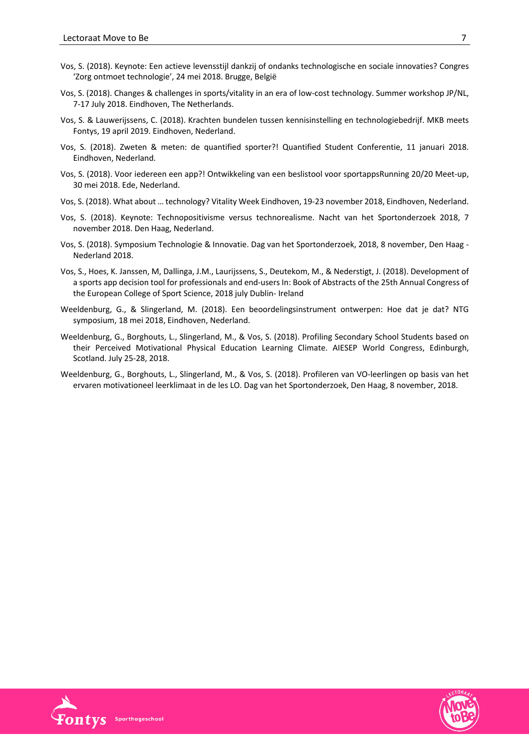- Vos, S. (2018). Keynote: Een actieve levensstijl dankzij of ondanks technologische en sociale innovaties? Congres 'Zorg ontmoet technologie', 24 mei 2018. Brugge, België
- Vos, S. (2018). Changes & challenges in sports/vitality in an era of low-cost technology. Summer workshop JP/NL, 7-17 July 2018. Eindhoven, The Netherlands.
- Vos, S. & Lauwerijssens, C. (2018). Krachten bundelen tussen kennisinstelling en technologiebedrijf. MKB meets Fontys, 19 april 2019. Eindhoven, Nederland.
- Vos, S. (2018). Zweten & meten: de quantified sporter?! Quantified Student Conferentie, 11 januari 2018. Eindhoven, Nederland.
- Vos, S. (2018). Voor iedereen een app?! Ontwikkeling van een beslistool voor sportappsRunning 20/20 Meet-up, 30 mei 2018. Ede, Nederland.
- Vos, S. (2018). What about … technology? Vitality Week Eindhoven, 19-23 november 2018, Eindhoven, Nederland.
- Vos, S. (2018). Keynote: Technopositivisme versus technorealisme. Nacht van het Sportonderzoek 2018, 7 november 2018. Den Haag, Nederland.
- Vos, S. (2018). Symposium Technologie & Innovatie. Dag van het Sportonderzoek, 2018, 8 november, Den Haag Nederland 2018.
- Vos, S., Hoes, K. Janssen, M, Dallinga, J.M., Laurijssens, S., Deutekom, M., & Nederstigt, J. (2018). Development of a sports app decision tool for professionals and end-users In: Book of Abstracts of the 25th Annual Congress of the European College of Sport Science, 2018 july Dublin- Ireland
- Weeldenburg, G., & Slingerland, M. (2018). Een beoordelingsinstrument ontwerpen: Hoe dat je dat? NTG symposium, 18 mei 2018, Eindhoven, Nederland.
- Weeldenburg, G., Borghouts, L., Slingerland, M., & Vos, S. (2018). Profiling Secondary School Students based on their Perceived Motivational Physical Education Learning Climate. AIESEP World Congress, Edinburgh, Scotland. July 25-28, 2018.
- Weeldenburg, G., Borghouts, L., Slingerland, M., & Vos, S. (2018). Profileren van VO-leerlingen op basis van het ervaren motivationeel leerklimaat in de les LO. Dag van het Sportonderzoek, Den Haag, 8 november, 2018.



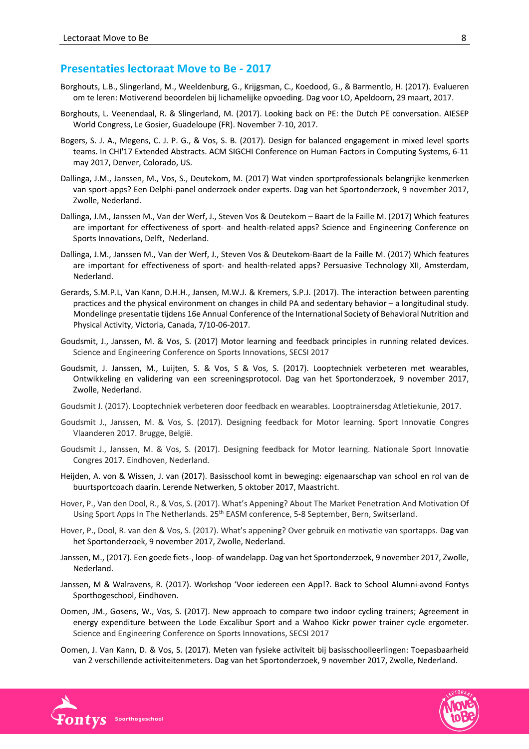- Borghouts, L.B., Slingerland, M., Weeldenburg, G., Krijgsman, C., Koedood, G., & Barmentlo, H. (2017). Evalueren om te leren: Motiverend beoordelen bij lichamelijke opvoeding. Dag voor LO, Apeldoorn, 29 maart, 2017.
- Borghouts, L. Veenendaal, R. & Slingerland, M. (2017). Looking back on PE: the Dutch PE conversation. AIESEP World Congress, Le Gosier, Guadeloupe (FR). November 7-10, 2017.
- Bogers, S. J. A., Megens, C. J. P. G., & Vos, S. B. (2017). Design for balanced engagement in mixed level sports teams. In CHI'17 Extended Abstracts. ACM SIGCHI Conference on Human Factors in Computing Systems, 6-11 may 2017, Denver, Colorado, US.
- Dallinga, J.M., Janssen, M., Vos, S., Deutekom, M. (2017) Wat vinden sportprofessionals belangrijke kenmerken van sport-apps? Een Delphi-panel onderzoek onder experts. Dag van het Sportonderzoek, 9 november 2017, Zwolle, Nederland.
- Dallinga, J.M., Janssen M., Van der Werf, J., Steven Vos & Deutekom Baart de la Faille M. (2017) Which features are important for effectiveness of sport- and health-related apps? Science and Engineering Conference on Sports Innovations, Delft, Nederland.
- Dallinga, J.M., Janssen M., Van der Werf, J., Steven Vos & Deutekom-Baart de la Faille M. (2017) Which features are important for effectiveness of sport- and health-related apps? Persuasive Technology XII, Amsterdam, Nederland.
- Gerards, S.M.P.L, Van Kann, D.H.H., Jansen, M.W.J. & Kremers, S.P.J. (2017). The interaction between parenting practices and the physical environment on changes in child PA and sedentary behavior – a longitudinal study. Mondelinge presentatie tijdens 16e Annual Conference of the International Society of Behavioral Nutrition and Physical Activity, Victoria, Canada, 7/10-06-2017.
- Goudsmit, J., Janssen, M. & Vos, S. (2017) Motor learning and feedback principles in running related devices. Science and Engineering Conference on Sports Innovations, SECSI 2017
- Goudsmit, J. Janssen, M., Luijten, S. & Vos, S & Vos, S. (2017). Looptechniek verbeteren met wearables, Ontwikkeling en validering van een screeningsprotocol. Dag van het Sportonderzoek, 9 november 2017, Zwolle, Nederland.

Goudsmit J. (2017). Looptechniek verbeteren door feedback en wearables. Looptrainersdag Atletiekunie, 2017.

- Goudsmit J., Janssen, M. & Vos, S. (2017). Designing feedback for Motor learning. Sport Innovatie Congres Vlaanderen 2017. Brugge, België.
- Goudsmit J., Janssen, M. & Vos, S. (2017). Designing feedback for Motor learning. Nationale Sport Innovatie Congres 2017. Eindhoven, Nederland.
- Heijden, A. von & Wissen, J. van (2017). Basisschool komt in beweging: eigenaarschap van school en rol van de buurtsportcoach daarin. Lerende Netwerken, 5 oktober 2017, Maastricht.
- Hover, P., Van den Dool, R., & Vos, S. (2017). What's Appening? About The Market Penetration And Motivation Of Using Sport Apps In The Netherlands. 25<sup>th</sup> EASM conference, 5-8 September, Bern, Switserland.
- Hover, P., Dool, R. van den & Vos, S. (2017). What's appening? Over gebruik en motivatie van sportapps. Dag van het Sportonderzoek, 9 november 2017, Zwolle, Nederland.
- Janssen, M., (2017). Een goede fiets-, loop- of wandelapp. Dag van het Sportonderzoek, 9 november 2017, Zwolle, Nederland.
- Janssen, M & Walravens, R. (2017). Workshop 'Voor iedereen een App!?. Back to School Alumni-avond Fontys Sporthogeschool, Eindhoven.
- Oomen, JM., Gosens, W., Vos, S. (2017). New approach to compare two indoor cycling trainers; Agreement in energy expenditure between the Lode Excalibur Sport and a Wahoo Kickr power trainer cycle ergometer. Science and Engineering Conference on Sports Innovations, SECSI 2017
- Oomen, J. Van Kann, D. & Vos, S. (2017). Meten van fysieke activiteit bij basisschoolleerlingen: Toepasbaarheid van 2 verschillende activiteitenmeters. Dag van het Sportonderzoek, 9 november 2017, Zwolle, Nederland.



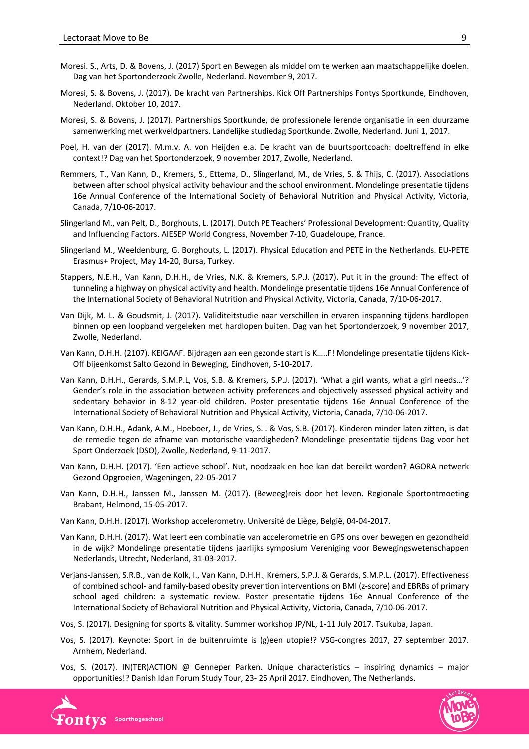$\mathbf{on}$ tys <sup>Sporthogeschool</sup>

- Moresi. S., Arts, D. & Bovens, J. (2017) Sport en Bewegen als middel om te werken aan maatschappelijke doelen. Dag van het Sportonderzoek Zwolle, Nederland. November 9, 2017.
- Moresi, S. & Bovens, J. (2017). De kracht van Partnerships. Kick Off Partnerships Fontys Sportkunde, Eindhoven, Nederland. Oktober 10, 2017.
- Moresi, S. & Bovens, J. (2017). Partnerships Sportkunde, de professionele lerende organisatie in een duurzame samenwerking met werkveldpartners. Landelijke studiedag Sportkunde. Zwolle, Nederland. Juni 1, 2017.
- Poel, H. van der (2017). M.m.v. A. von Heijden e.a. De kracht van de buurtsportcoach: doeltreffend in elke context!? Dag van het Sportonderzoek, 9 november 2017, Zwolle, Nederland.
- Remmers, T., Van Kann, D., Kremers, S., Ettema, D., Slingerland, M., de Vries, S. & Thijs, C. (2017). Associations between after school physical activity behaviour and the school environment. Mondelinge presentatie tijdens 16e Annual Conference of the International Society of Behavioral Nutrition and Physical Activity, Victoria, Canada, 7/10-06-2017.
- Slingerland M., van Pelt, D., Borghouts, L. (2017). Dutch PE Teachers' Professional Development: Quantity, Quality and Influencing Factors. AIESEP World Congress, November 7-10, Guadeloupe, France.
- Slingerland M., Weeldenburg, G. Borghouts, L. (2017). Physical Education and PETE in the Netherlands. EU-PETE Erasmus+ Project, May 14-20, Bursa, Turkey.
- Stappers, N.E.H., Van Kann, D.H.H., de Vries, N.K. & Kremers, S.P.J. (2017). Put it in the ground: The effect of tunneling a highway on physical activity and health. Mondelinge presentatie tijdens 16e Annual Conference of the International Society of Behavioral Nutrition and Physical Activity, Victoria, Canada, 7/10-06-2017.
- Van Dijk, M. L. & Goudsmit, J. (2017). Validiteitstudie naar verschillen in ervaren inspanning tijdens hardlopen binnen op een loopband vergeleken met hardlopen buiten. Dag van het Sportonderzoek, 9 november 2017, Zwolle, Nederland.
- Van Kann, D.H.H. (2107). KEIGAAF. Bijdragen aan een gezonde start is K…..F! Mondelinge presentatie tijdens Kick-Off bijeenkomst Salto Gezond in Beweging, Eindhoven, 5-10-2017.
- Van Kann, D.H.H., Gerards, S.M.P.L, Vos, S.B. & Kremers, S.P.J. (2017). 'What a girl wants, what a girl needs…'? Gender's role in the association between activity preferences and objectively assessed physical activity and sedentary behavior in 8-12 year-old children. Poster presentatie tijdens 16e Annual Conference of the International Society of Behavioral Nutrition and Physical Activity, Victoria, Canada, 7/10-06-2017.
- Van Kann, D.H.H., Adank, A.M., Hoeboer, J., de Vries, S.I. & Vos, S.B. (2017). Kinderen minder laten zitten, is dat de remedie tegen de afname van motorische vaardigheden? Mondelinge presentatie tijdens Dag voor het Sport Onderzoek (DSO), Zwolle, Nederland, 9-11-2017.
- Van Kann, D.H.H. (2017). 'Een actieve school'. Nut, noodzaak en hoe kan dat bereikt worden? AGORA netwerk Gezond Opgroeien, Wageningen, 22-05-2017
- Van Kann, D.H.H., Janssen M., Janssen M. (2017). (Beweeg)reis door het leven. Regionale Sportontmoeting Brabant, Helmond, 15-05-2017.
- Van Kann, D.H.H. (2017). Workshop accelerometry. Université de Liège, België, 04-04-2017.
- Van Kann, D.H.H. (2017). Wat leert een combinatie van accelerometrie en GPS ons over bewegen en gezondheid in de wijk? Mondelinge presentatie tijdens jaarlijks symposium Vereniging voor Bewegingswetenschappen Nederlands, Utrecht, Nederland, 31-03-2017.
- Verjans-Janssen, S.R.B., van de Kolk, I., Van Kann, D.H.H., Kremers, S.P.J. & Gerards, S.M.P.L. (2017). Effectiveness of combined school- and family-based obesity prevention interventions on BMI (z-score) and EBRBs of primary school aged children: a systematic review. Poster presentatie tijdens 16e Annual Conference of the International Society of Behavioral Nutrition and Physical Activity, Victoria, Canada, 7/10-06-2017.
- Vos, S. (2017). Designing for sports & vitality. Summer workshop JP/NL, 1-11 July 2017. Tsukuba, Japan.
- Vos, S. (2017). Keynote: Sport in de buitenruimte is (g)een utopie!? VSG-congres 2017, 27 september 2017. Arnhem, Nederland.
- Vos, S. (2017). IN(TER)ACTION @ Genneper Parken. Unique characteristics inspiring dynamics major opportunities!? Danish Idan Forum Study Tour, 23- 25 April 2017. Eindhoven, The Netherlands.

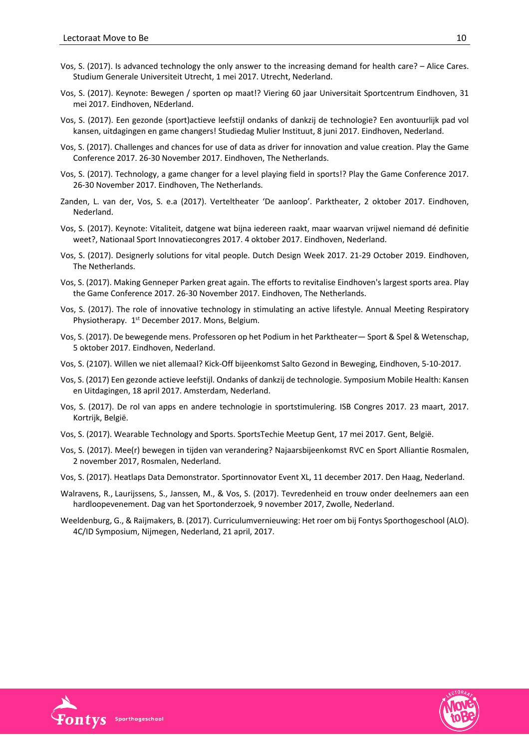- Vos, S. (2017). Is advanced technology the only answer to the increasing demand for health care? Alice Cares. Studium Generale Universiteit Utrecht, 1 mei 2017. Utrecht, Nederland.
- Vos, S. (2017). Keynote: Bewegen / sporten op maat!? Viering 60 jaar Universitait Sportcentrum Eindhoven, 31 mei 2017. Eindhoven, NEderland.
- Vos, S. (2017). Een gezonde (sport)actieve leefstijl ondanks of dankzij de technologie? Een avontuurlijk pad vol kansen, uitdagingen en game changers! Studiedag Mulier Instituut, 8 juni 2017. Eindhoven, Nederland.
- Vos, S. (2017). Challenges and chances for use of data as driver for innovation and value creation. Play the Game Conference 2017. 26-30 November 2017. Eindhoven, The Netherlands.
- Vos, S. (2017). Technology, a game changer for a level playing field in sports!? Play the Game Conference 2017. 26-30 November 2017. Eindhoven, The Netherlands.
- Zanden, L. van der, Vos, S. e.a (2017). Verteltheater 'De aanloop'. Parktheater, 2 oktober 2017. Eindhoven, Nederland.
- Vos, S. (2017). Keynote: Vitaliteit, datgene wat bijna iedereen raakt, maar waarvan vrijwel niemand dé definitie weet?, Nationaal Sport Innovatiecongres 2017. 4 oktober 2017. Eindhoven, Nederland.
- Vos, S. (2017). Designerly solutions for vital people. Dutch Design Week 2017. 21-29 October 2019. Eindhoven, The Netherlands.
- Vos, S. (2017). Making Genneper Parken great again. The efforts to revitalise Eindhoven's largest sports area. Play the Game Conference 2017. 26-30 November 2017. Eindhoven, The Netherlands.
- Vos, S. (2017). The role of innovative technology in stimulating an active lifestyle. Annual Meeting Respiratory Physiotherapy. 1<sup>st</sup> December 2017. Mons, Belgium.
- Vos, S. (2017). De bewegende mens. Professoren op het Podium in het Parktheater— Sport & Spel & Wetenschap, 5 oktober 2017. Eindhoven, Nederland.
- Vos, S. (2107). Willen we niet allemaal? Kick-Off bijeenkomst Salto Gezond in Beweging, Eindhoven, 5-10-2017.
- Vos, S. (2017) Een gezonde actieve leefstijl. Ondanks of dankzij de technologie. Symposium Mobile Health: Kansen en Uitdagingen, 18 april 2017. Amsterdam, Nederland.
- Vos, S. (2017). De rol van apps en andere technologie in sportstimulering. ISB Congres 2017. 23 maart, 2017. Kortrijk, België.
- Vos, S. (2017). Wearable Technology and Sports. SportsTechie Meetup Gent, 17 mei 2017. Gent, België.
- Vos, S. (2017). Mee(r) bewegen in tijden van verandering? Najaarsbijeenkomst RVC en Sport Alliantie Rosmalen, 2 november 2017, Rosmalen, Nederland.
- Vos, S. (2017). Heatlaps Data Demonstrator. Sportinnovator Event XL, 11 december 2017. Den Haag, Nederland.
- Walravens, R., Laurijssens, S., Janssen, M., & Vos, S. (2017). Tevredenheid en trouw onder deelnemers aan een hardloopevenement. Dag van het Sportonderzoek, 9 november 2017, Zwolle, Nederland.
- Weeldenburg, G., & Raijmakers, B. (2017). Curriculumvernieuwing: Het roer om bij Fontys Sporthogeschool (ALO). 4C/ID Symposium, Nijmegen, Nederland, 21 april, 2017.



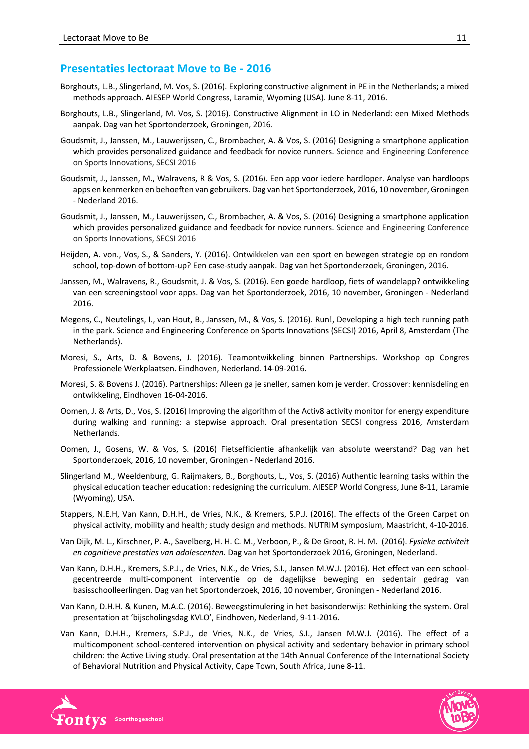- Borghouts, L.B., Slingerland, M. Vos, S. (2016). Exploring constructive alignment in PE in the Netherlands; a mixed methods approach. AIESEP World Congress, Laramie, Wyoming (USA). June 8-11, 2016.
- Borghouts, L.B., Slingerland, M. Vos, S. (2016). Constructive Alignment in LO in Nederland: een Mixed Methods aanpak. Dag van het Sportonderzoek, Groningen, 2016.
- Goudsmit, J., Janssen, M., Lauwerijssen, C., Brombacher, A. & Vos, S. (2016) Designing a smartphone application which provides personalized guidance and feedback for novice runners. Science and Engineering Conference on Sports Innovations, SECSI 2016
- Goudsmit, J., Janssen, M., Walravens, R & Vos, S. (2016). Een app voor iedere hardloper. Analyse van hardloops apps en kenmerken en behoeften van gebruikers. Dag van het Sportonderzoek, 2016, 10 november, Groningen - Nederland 2016.
- Goudsmit, J., Janssen, M., Lauwerijssen, C., Brombacher, A. & Vos, S. (2016) Designing a smartphone application which provides personalized guidance and feedback for novice runners. Science and Engineering Conference on Sports Innovations, SECSI 2016
- Heijden, A. von., Vos, S., & Sanders, Y. (2016). Ontwikkelen van een sport en bewegen strategie op en rondom school, top-down of bottom-up? Een case-study aanpak. Dag van het Sportonderzoek, Groningen, 2016.
- Janssen, M., Walravens, R., Goudsmit, J. & Vos, S. (2016). Een goede hardloop, fiets of wandelapp? ontwikkeling van een screeningstool voor apps. Dag van het Sportonderzoek, 2016, 10 november, Groningen - Nederland 2016.
- Megens, C., Neutelings, I., van Hout, B., Janssen, M., & Vos, S. (2016). Run!, Developing a high tech running path in the park. Science and Engineering Conference on Sports Innovations (SECSI) 2016, April 8, Amsterdam (The Netherlands).
- Moresi, S., Arts, D. & Bovens, J. (2016). Teamontwikkeling binnen Partnerships. Workshop op Congres Professionele Werkplaatsen. Eindhoven, Nederland. 14-09-2016.
- Moresi, S. & Bovens J. (2016). Partnerships: Alleen ga je sneller, samen kom je verder. Crossover: kennisdeling en ontwikkeling, Eindhoven 16-04-2016.
- Oomen, J. & Arts, D., Vos, S. (2016) Improving the algorithm of the Activ8 activity monitor for energy expenditure during walking and running: a stepwise approach. Oral presentation SECSI congress 2016, Amsterdam Netherlands.
- Oomen, J., Gosens, W. & Vos, S. (2016) Fietsefficientie afhankelijk van absolute weerstand? Dag van het Sportonderzoek, 2016, 10 november, Groningen - Nederland 2016.
- Slingerland M., Weeldenburg, G. Raijmakers, B., Borghouts, L., Vos, S. (2016) Authentic learning tasks within the physical education teacher education: redesigning the curriculum. AIESEP World Congress, June 8-11, Laramie (Wyoming), USA.
- Stappers, N.E.H, Van Kann, D.H.H., de Vries, N.K., & Kremers, S.P.J. (2016). The effects of the Green Carpet on physical activity, mobility and health; study design and methods. NUTRIM symposium, Maastricht, 4-10-2016.
- Van Dijk, M. L., Kirschner, P. A., Savelberg, H. H. C. M., Verboon, P., & De Groot, R. H. M. (2016). *Fysieke activiteit en cognitieve prestaties van adolescenten.* Dag van het Sportonderzoek 2016, Groningen, Nederland.
- Van Kann, D.H.H., Kremers, S.P.J., de Vries, N.K., de Vries, S.I., Jansen M.W.J. (2016). Het effect van een schoolgecentreerde multi-component interventie op de dagelijkse beweging en sedentair gedrag van basisschoolleerlingen. Dag van het Sportonderzoek, 2016, 10 november, Groningen - Nederland 2016.
- Van Kann, D.H.H. & Kunen, M.A.C. (2016). Beweegstimulering in het basisonderwijs: Rethinking the system. Oral presentation at 'bijscholingsdag KVLO', Eindhoven, Nederland, 9-11-2016.
- Van Kann, D.H.H., Kremers, S.P.J., de Vries, N.K., de Vries, S.I., Jansen M.W.J. (2016). The effect of a multicomponent school-centered intervention on physical activity and sedentary behavior in primary school children: the Active Living study. Oral presentation at the 14th Annual Conference of the International Society of Behavioral Nutrition and Physical Activity, Cape Town, South Africa, June 8-11.



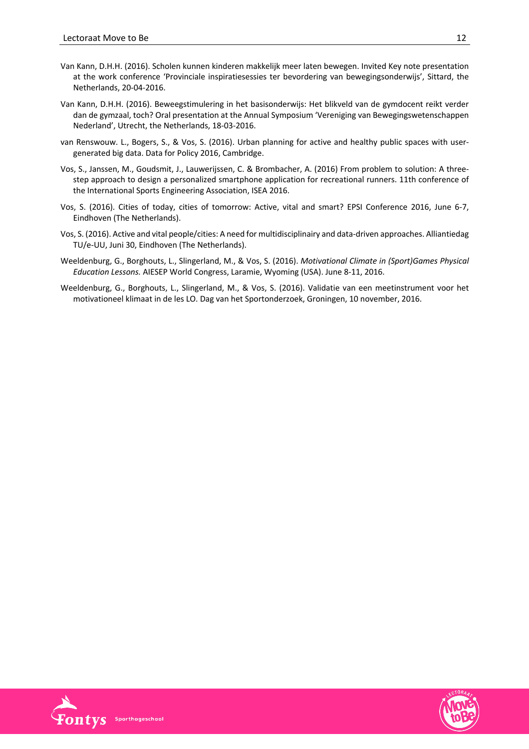- Van Kann, D.H.H. (2016). Scholen kunnen kinderen makkelijk meer laten bewegen. Invited Key note presentation at the work conference 'Provinciale inspiratiesessies ter bevordering van bewegingsonderwijs', Sittard, the Netherlands, 20-04-2016.
- Van Kann, D.H.H. (2016). Beweegstimulering in het basisonderwijs: Het blikveld van de gymdocent reikt verder dan de gymzaal, toch? Oral presentation at the Annual Symposium 'Vereniging van Bewegingswetenschappen Nederland', Utrecht, the Netherlands, 18-03-2016.
- van Renswouw. L., Bogers, S., & Vos, S. (2016). Urban planning for active and healthy public spaces with usergenerated big data. Data for Policy 2016, Cambridge.
- Vos, S., Janssen, M., Goudsmit, J., Lauwerijssen, C. & Brombacher, A. (2016) From problem to solution: A threestep approach to design a personalized smartphone application for recreational runners. 11th conference of the International Sports Engineering Association, ISEA 2016.
- Vos, S. (2016). Cities of today, cities of tomorrow: Active, vital and smart? EPSI Conference 2016, June 6-7, Eindhoven (The Netherlands).
- Vos, S. (2016). Active and vital people/cities: A need for multidisciplinairy and data-driven approaches. Alliantiedag TU/e-UU, Juni 30, Eindhoven (The Netherlands).
- Weeldenburg, G., Borghouts, L., Slingerland, M., & Vos, S. (2016). *Motivational Climate in (Sport)Games Physical Education Lessons.* AIESEP World Congress, Laramie, Wyoming (USA). June 8-11, 2016.
- Weeldenburg, G., Borghouts, L., Slingerland, M., & Vos, S. (2016). Validatie van een meetinstrument voor het motivationeel klimaat in de les LO. Dag van het Sportonderzoek, Groningen, 10 november, 2016.



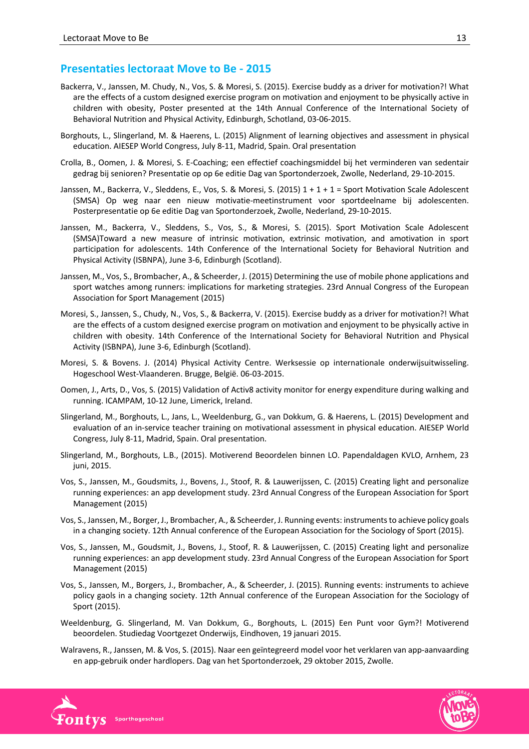- Backerra, V., Janssen, M. Chudy, N., Vos, S. & Moresi, S. (2015). Exercise buddy as a driver for motivation?! What are the effects of a custom designed exercise program on motivation and enjoyment to be physically active in children with obesity, Poster presented at the 14th Annual Conference of the International Society of Behavioral Nutrition and Physical Activity, Edinburgh, Schotland, 03-06-2015.
- Borghouts, L., Slingerland, M. & Haerens, L. (2015) Alignment of learning objectives and assessment in physical education. AIESEP World Congress, July 8-11, Madrid, Spain. Oral presentation
- Crolla, B., Oomen, J. & Moresi, S. E-Coaching; een effectief coachingsmiddel bij het verminderen van sedentair gedrag bij senioren? Presentatie op op 6e editie Dag van Sportonderzoek, Zwolle, Nederland, 29-10-2015.
- Janssen, M., Backerra, V., Sleddens, E., Vos, S. & Moresi, S. (2015) 1 + 1 + 1 = Sport Motivation Scale Adolescent (SMSA) Op weg naar een nieuw motivatie-meetinstrument voor sportdeelname bij adolescenten. Posterpresentatie op 6e editie Dag van Sportonderzoek, Zwolle, Nederland, 29-10-2015.
- Janssen, M., Backerra, V., Sleddens, S., Vos, S., & Moresi, S. (2015). Sport Motivation Scale Adolescent (SMSA)Toward a new measure of intrinsic motivation, extrinsic motivation, and amotivation in sport participation for adolescents. 14th Conference of the International Society for Behavioral Nutrition and Physical Activity (ISBNPA), June 3-6, Edinburgh (Scotland).
- Janssen, M., Vos, S., Brombacher, A., & Scheerder, J. (2015) Determining the use of mobile phone applications and sport watches among runners: implications for marketing strategies. 23rd Annual Congress of the European Association for Sport Management (2015)
- Moresi, S., Janssen, S., Chudy, N., Vos, S., & Backerra, V. (2015). Exercise buddy as a driver for motivation?! What are the effects of a custom designed exercise program on motivation and enjoyment to be physically active in children with obesity. 14th Conference of the International Society for Behavioral Nutrition and Physical Activity (ISBNPA), June 3-6, Edinburgh (Scotland).
- Moresi, S. & Bovens. J. (2014) Physical Activity Centre. Werksessie op internationale onderwijsuitwisseling. Hogeschool West-Vlaanderen. Brugge, België. 06-03-2015.
- Oomen, J., Arts, D., Vos, S. (2015) Validation of Activ8 activity monitor for energy expenditure during walking and running. ICAMPAM, 10-12 June, Limerick, Ireland.
- Slingerland, M., Borghouts, L., Jans, L., Weeldenburg, G., van Dokkum, G. & Haerens, L. (2015) Development and evaluation of an in-service teacher training on motivational assessment in physical education. AIESEP World Congress, July 8-11, Madrid, Spain. Oral presentation.
- Slingerland, M., Borghouts, L.B., (2015). Motiverend Beoordelen binnen LO. Papendaldagen KVLO, Arnhem, 23 juni, 2015.
- Vos, S., Janssen, M., Goudsmits, J., Bovens, J., Stoof, R. & Lauwerijssen, C. (2015) Creating light and personalize running experiences: an app development study. 23rd Annual Congress of the European Association for Sport Management (2015)
- Vos, S., Janssen, M., Borger, J., Brombacher, A., & Scheerder, J. Running events: instruments to achieve policy goals in a changing society. 12th Annual conference of the European Association for the Sociology of Sport (2015).
- Vos, S., Janssen, M., Goudsmit, J., Bovens, J., Stoof, R. & Lauwerijssen, C. (2015) Creating light and personalize running experiences: an app development study. 23rd Annual Congress of the European Association for Sport Management (2015)
- Vos, S., Janssen, M., Borgers, J., Brombacher, A., & Scheerder, J. (2015). Running events: instruments to achieve policy gaols in a changing society. 12th Annual conference of the European Association for the Sociology of Sport (2015).
- Weeldenburg, G. Slingerland, M. Van Dokkum, G., Borghouts, L. (2015) Een Punt voor Gym?! Motiverend beoordelen. Studiedag Voortgezet Onderwijs, Eindhoven, 19 januari 2015.
- Walravens, R., Janssen, M. & Vos, S. (2015). Naar een geïntegreerd model voor het verklaren van app-aanvaarding en app-gebruik onder hardlopers. Dag van het Sportonderzoek, 29 oktober 2015, Zwolle.



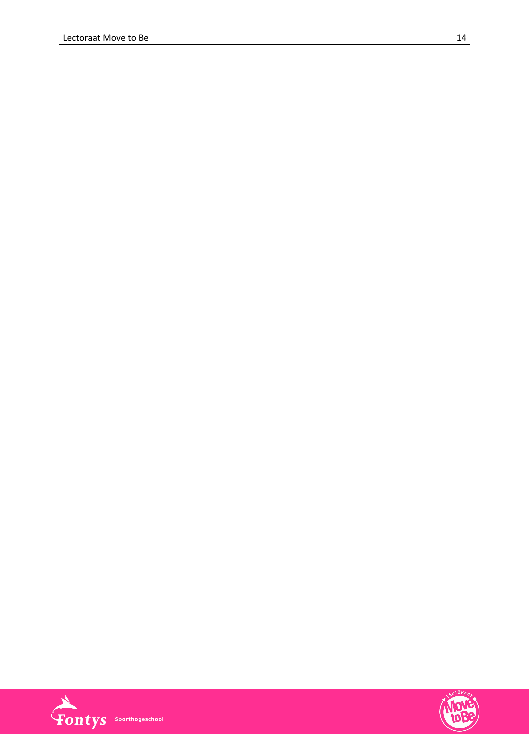

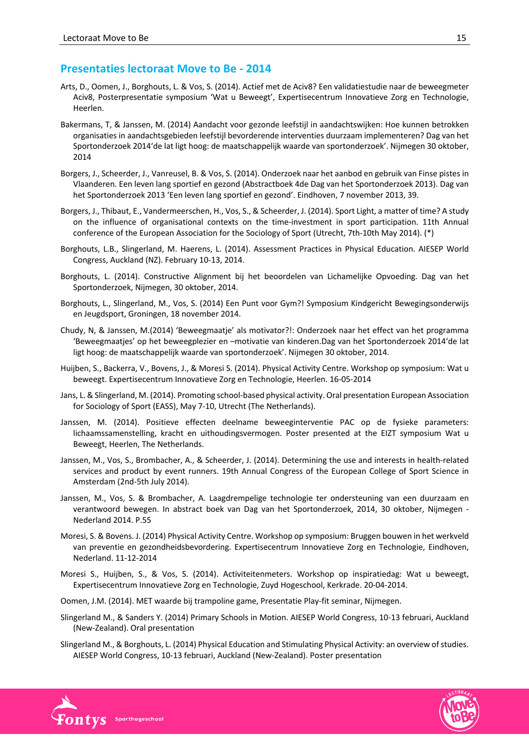- Arts, D., Oomen, J., Borghouts, L. & Vos, S. (2014). Actief met de Aciv8? Een validatiestudie naar de beweegmeter Aciv8, Posterpresentatie symposium 'Wat u Beweegt', Expertisecentrum Innovatieve Zorg en Technologie, Heerlen.
- Bakermans, T, & Janssen, M. (2014) Aandacht voor gezonde leefstijl in aandachtswijken: Hoe kunnen betrokken organisaties in aandachtsgebieden leefstijl bevorderende interventies duurzaam implementeren? Dag van het Sportonderzoek 2014'de lat ligt hoog: de maatschappelijk waarde van sportonderzoek'. Nijmegen 30 oktober, 2014
- Borgers, J., Scheerder, J., Vanreusel, B. & Vos, S. (2014). Onderzoek naar het aanbod en gebruik van Finse pistes in Vlaanderen. Een leven lang sportief en gezond (Abstractboek 4de Dag van het Sportonderzoek 2013). Dag van het Sportonderzoek 2013 'Een leven lang sportief en gezond'. Eindhoven, 7 november 2013, 39.
- Borgers, J., Thibaut, E., Vandermeerschen, H., Vos, S., & Scheerder, J. (2014). Sport Light, a matter of time? A study on the influence of organisational contexts on the time-investment in sport participation. 11th Annual conference of the European Association for the Sociology of Sport (Utrecht, 7th-10th May 2014). (\*)
- Borghouts, L.B., Slingerland, M. Haerens, L. (2014). Assessment Practices in Physical Education. AIESEP World Congress, Auckland (NZ). February 10-13, 2014.
- Borghouts, L. (2014). Constructive Alignment bij het beoordelen van Lichamelijke Opvoeding. Dag van het Sportonderzoek, Nijmegen, 30 oktober, 2014.
- Borghouts, L., Slingerland, M., Vos, S. (2014) Een Punt voor Gym?! Symposium Kindgericht Bewegingsonderwijs en Jeugdsport, Groningen, 18 november 2014.
- Chudy, N, & Janssen, M.(2014) 'Beweegmaatje' als motivator?!: Onderzoek naar het effect van het programma 'Beweegmaatjes' op het beweegplezier en –motivatie van kinderen.Dag van het Sportonderzoek 2014'de lat ligt hoog: de maatschappelijk waarde van sportonderzoek'. Nijmegen 30 oktober, 2014.
- Huijben, S., Backerra, V., Bovens, J., & Moresi S. (2014). Physical Activity Centre. Workshop op symposium: Wat u beweegt. Expertisecentrum Innovatieve Zorg en Technologie, Heerlen. 16-05-2014
- Jans, L. & Slingerland, M. (2014). Promoting school-based physical activity. Oral presentation European Association for Sociology of Sport (EASS), May 7-10, Utrecht (The Netherlands).
- Janssen, M. (2014). Positieve effecten deelname beweeginterventie PAC op de fysieke parameters: lichaamssamenstelling, kracht en uithoudingsvermogen. Poster presented at the EIZT symposium Wat u Beweegt, Heerlen, The Netherlands.
- Janssen, M., Vos, S., Brombacher, A., & Scheerder, J. (2014). Determining the use and interests in health-related services and product by event runners. 19th Annual Congress of the European College of Sport Science in Amsterdam (2nd-5th July 2014).
- Janssen, M., Vos, S. & Brombacher, A. Laagdrempelige technologie ter ondersteuning van een duurzaam en verantwoord bewegen. In abstract boek van Dag van het Sportonderzoek, 2014, 30 oktober, Nijmegen - Nederland 2014. P.55
- Moresi, S. & Bovens. J. (2014) Physical Activity Centre. Workshop op symposium: Bruggen bouwen in het werkveld van preventie en gezondheidsbevordering. Expertisecentrum Innovatieve Zorg en Technologie, Eindhoven, Nederland. 11-12-2014
- Moresi S., Huijben, S., & Vos, S. (2014). Activiteitenmeters. Workshop op inspiratiedag: Wat u beweegt, Expertisecentrum Innovatieve Zorg en Technologie, Zuyd Hogeschool, Kerkrade. 20-04-2014.
- Oomen, J.M. (2014). MET waarde bij trampoline game, Presentatie Play-fit seminar, Nijmegen.
- Slingerland M., & Sanders Y. (2014) Primary Schools in Motion. AIESEP World Congress, 10-13 februari, Auckland (New-Zealand). Oral presentation
- Slingerland M., & Borghouts, L. (2014) Physical Education and Stimulating Physical Activity: an overview of studies. AIESEP World Congress, 10-13 februari, Auckland (New-Zealand). Poster presentation



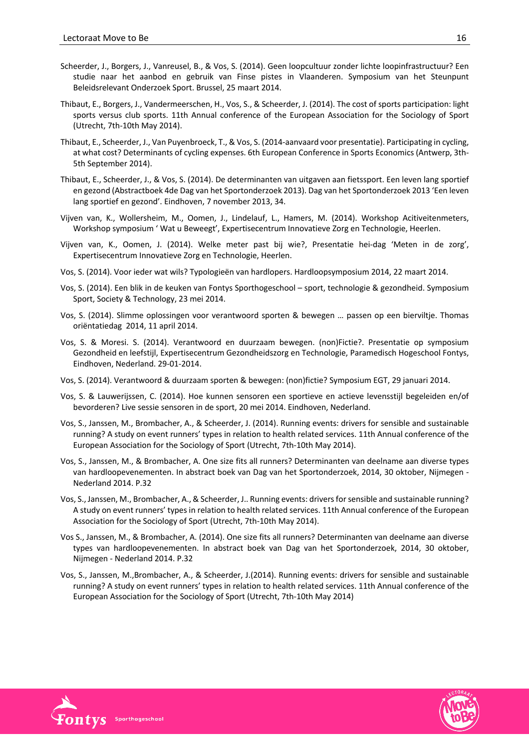- Scheerder, J., Borgers, J., Vanreusel, B., & Vos, S. (2014). Geen loopcultuur zonder lichte loopinfrastructuur? Een studie naar het aanbod en gebruik van Finse pistes in Vlaanderen. Symposium van het Steunpunt Beleidsrelevant Onderzoek Sport. Brussel, 25 maart 2014.
- Thibaut, E., Borgers, J., Vandermeerschen, H., Vos, S., & Scheerder, J. (2014). The cost of sports participation: light sports versus club sports. 11th Annual conference of the European Association for the Sociology of Sport (Utrecht, 7th-10th May 2014).
- Thibaut, E., Scheerder, J., Van Puyenbroeck, T., & Vos, S. (2014-aanvaard voor presentatie). Participating in cycling, at what cost? Determinants of cycling expenses. 6th European Conference in Sports Economics (Antwerp, 3th-5th September 2014).
- Thibaut, E., Scheerder, J., & Vos, S. (2014). De determinanten van uitgaven aan fietssport. Een leven lang sportief en gezond (Abstractboek 4de Dag van het Sportonderzoek 2013). Dag van het Sportonderzoek 2013 'Een leven lang sportief en gezond'. Eindhoven, 7 november 2013, 34.
- Vijven van, K., Wollersheim, M., Oomen, J., Lindelauf, L., Hamers, M. (2014). Workshop Acitiveitenmeters, Workshop symposium ' Wat u Beweegt', Expertisecentrum Innovatieve Zorg en Technologie, Heerlen.
- Vijven van, K., Oomen, J. (2014). Welke meter past bij wie?, Presentatie hei-dag 'Meten in de zorg', Expertisecentrum Innovatieve Zorg en Technologie, Heerlen.
- Vos, S. (2014). Voor ieder wat wils? Typologieën van hardlopers. Hardloopsymposium 2014, 22 maart 2014.
- Vos, S. (2014). Een blik in de keuken van Fontys Sporthogeschool sport, technologie & gezondheid. Symposium Sport, Society & Technology, 23 mei 2014.
- Vos, S. (2014). Slimme oplossingen voor verantwoord sporten & bewegen … passen op een bierviltje. Thomas oriëntatiedag 2014, 11 april 2014.
- Vos, S. & Moresi. S. (2014). Verantwoord en duurzaam bewegen. (non)Fictie?. Presentatie op symposium Gezondheid en leefstijl, Expertisecentrum Gezondheidszorg en Technologie, Paramedisch Hogeschool Fontys, Eindhoven, Nederland. 29-01-2014.
- Vos, S. (2014). Verantwoord & duurzaam sporten & bewegen: (non)fictie? Symposium EGT, 29 januari 2014.
- Vos, S. & Lauwerijssen, C. (2014). Hoe kunnen sensoren een sportieve en actieve levensstijl begeleiden en/of bevorderen? Live sessie sensoren in de sport, 20 mei 2014. Eindhoven, Nederland.
- Vos, S., Janssen, M., Brombacher, A., & Scheerder, J. (2014). Running events: drivers for sensible and sustainable running? A study on event runners' types in relation to health related services. 11th Annual conference of the European Association for the Sociology of Sport (Utrecht, 7th-10th May 2014).
- Vos, S., Janssen, M., & Brombacher, A. One size fits all runners? Determinanten van deelname aan diverse types van hardloopevenementen. In abstract boek van Dag van het Sportonderzoek, 2014, 30 oktober, Nijmegen - Nederland 2014. P.32
- Vos, S., Janssen, M., Brombacher, A., & Scheerder, J.. Running events: drivers for sensible and sustainable running? A study on event runners' types in relation to health related services. 11th Annual conference of the European Association for the Sociology of Sport (Utrecht, 7th-10th May 2014).
- Vos S., Janssen, M., & Brombacher, A. (2014). One size fits all runners? Determinanten van deelname aan diverse types van hardloopevenementen. In abstract boek van Dag van het Sportonderzoek, 2014, 30 oktober, Nijmegen - Nederland 2014. P.32
- Vos, S., Janssen, M.,Brombacher, A., & Scheerder, J.(2014). Running events: drivers for sensible and sustainable running? A study on event runners' types in relation to health related services. 11th Annual conference of the European Association for the Sociology of Sport (Utrecht, 7th-10th May 2014)



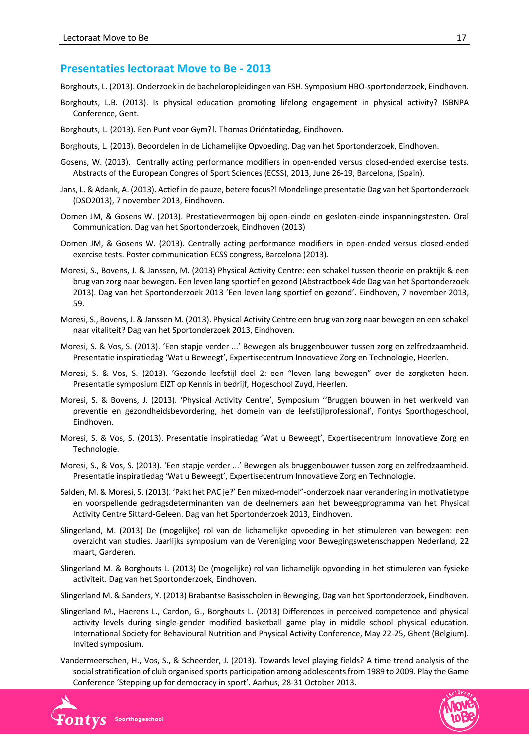ontys

Sporthogeschool

#### **Presentaties lectoraat Move to Be - 2013**

Borghouts, L. (2013). Onderzoek in de bacheloropleidingen van FSH. Symposium HBO-sportonderzoek, Eindhoven.

- Borghouts, L.B. (2013). Is physical education promoting lifelong engagement in physical activity? ISBNPA Conference, Gent.
- Borghouts, L. (2013). Een Punt voor Gym?!. Thomas Oriëntatiedag, Eindhoven.
- Borghouts, L. (2013). Beoordelen in de Lichamelijke Opvoeding. Dag van het Sportonderzoek, Eindhoven.
- Gosens, W. (2013). Centrally acting performance modifiers in open-ended versus closed-ended exercise tests. Abstracts of the European Congres of Sport Sciences (ECSS), 2013, June 26-19, Barcelona, (Spain).
- Jans, L. & Adank, A. (2013). Actief in de pauze, betere focus?! Mondelinge presentatie Dag van het Sportonderzoek (DSO2013), 7 november 2013, Eindhoven.
- Oomen JM, & Gosens W. (2013). Prestatievermogen bij open-einde en gesloten-einde inspanningstesten. Oral Communication. Dag van het Sportonderzoek, Eindhoven (2013)
- Oomen JM, & Gosens W. (2013). Centrally acting performance modifiers in open-ended versus closed-ended exercise tests. Poster communication ECSS congress, Barcelona (2013).
- Moresi, S., Bovens, J. & Janssen, M. (2013) Physical Activity Centre: een schakel tussen theorie en praktijk & een brug van zorg naar bewegen. Een leven lang sportief en gezond (Abstractboek 4de Dag van het Sportonderzoek 2013). Dag van het Sportonderzoek 2013 'Een leven lang sportief en gezond'. Eindhoven, 7 november 2013, 59.
- Moresi, S., Bovens, J. & Janssen M. (2013). Physical Activity Centre een brug van zorg naar bewegen en een schakel naar vitaliteit? Dag van het Sportonderzoek 2013, Eindhoven.
- Moresi, S. & Vos, S. (2013). 'Een stapje verder ...' Bewegen als bruggenbouwer tussen zorg en zelfredzaamheid. Presentatie inspiratiedag 'Wat u Beweegt', Expertisecentrum Innovatieve Zorg en Technologie, Heerlen.
- Moresi, S. & Vos, S. (2013). 'Gezonde leefstijl deel 2: een "leven lang bewegen" over de zorgketen heen. Presentatie symposium EIZT op Kennis in bedrijf, Hogeschool Zuyd, Heerlen.
- Moresi, S. & Bovens, J. (2013). 'Physical Activity Centre', Symposium ''Bruggen bouwen in het werkveld van preventie en gezondheidsbevordering, het domein van de leefstijlprofessional', Fontys Sporthogeschool, Eindhoven.
- Moresi, S. & Vos, S. (2013). Presentatie inspiratiedag 'Wat u Beweegt', Expertisecentrum Innovatieve Zorg en Technologie.
- Moresi, S., & Vos, S. (2013). 'Een stapje verder ...' Bewegen als bruggenbouwer tussen zorg en zelfredzaamheid. Presentatie inspiratiedag 'Wat u Beweegt', Expertisecentrum Innovatieve Zorg en Technologie.
- Salden, M. & Moresi, S. (2013). 'Pakt het PAC je?' Een mixed-model"-onderzoek naar verandering in motivatietype en voorspellende gedragsdeterminanten van de deelnemers aan het beweegprogramma van het Physical Activity Centre Sittard-Geleen. Dag van het Sportonderzoek 2013, Eindhoven.
- Slingerland, M. (2013) De (mogelijke) rol van de lichamelijke opvoeding in het stimuleren van bewegen: een overzicht van studies. Jaarlijks symposium van de Vereniging voor Bewegingswetenschappen Nederland, 22 maart, Garderen.
- Slingerland M. & Borghouts L. (2013) De (mogelijke) rol van lichamelijk opvoeding in het stimuleren van fysieke activiteit. Dag van het Sportonderzoek, Eindhoven.
- Slingerland M. & Sanders, Y. (2013) Brabantse Basisscholen in Beweging, Dag van het Sportonderzoek, Eindhoven.
- Slingerland M., Haerens L., Cardon, G., Borghouts L. (2013) Differences in perceived competence and physical activity levels during single-gender modified basketball game play in middle school physical education. International Society for Behavioural Nutrition and Physical Activity Conference, May 22-25, Ghent (Belgium). Invited symposium.
- Vandermeerschen, H., Vos, S., & Scheerder, J. (2013). Towards level playing fields? A time trend analysis of the social stratification of club organised sports participation among adolescents from 1989 to 2009. Play the Game Conference 'Stepping up for democracy in sport'. Aarhus, 28-31 October 2013.